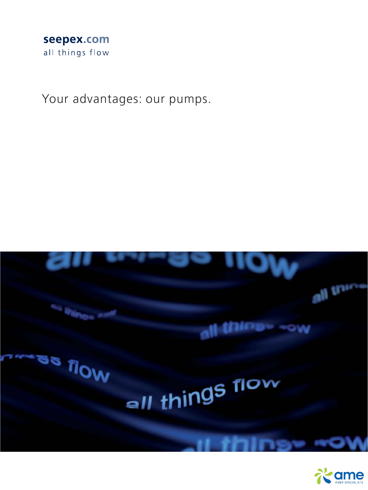

Your advantages: our pumps.



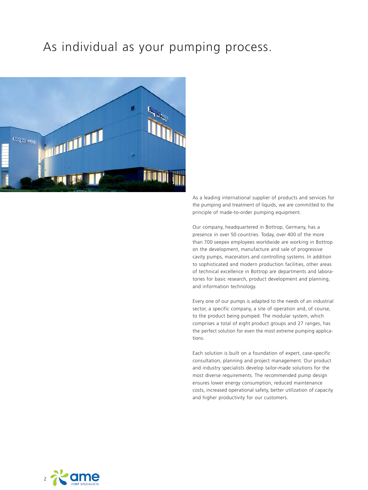# As individual as your pumping process.



As a leading international supplier of products and services for the pumping and treatment of liquids, we are committed to the principle of made-to-order pumping equipment.

Our company, headquartered in Bottrop, Germany, has a presence in over 50 countries. Today, over 400 of the more than 700 seepex employees worldwide are working in Bottrop on the development, manufacture and sale of progressive cavity pumps, macerators and controlling systems. In addition to sophisticated and modern production facilities, other areas of technical excellence in Bottrop are departments and laboratories for basic research, product development and planning, and information technology.

Every one of our pumps is adapted to the needs of an industrial sector, a specific company, a site of operation and, of course, to the product being pumped. The modular system, which comprises a total of eight product groups and 27 ranges, has the perfect solution for even the most extreme pumping applications.

Each solution is built on a foundation of expert, case-specific consultation, planning and project management. Our product and industry specialists develop tailor-made solutions for the most diverse requirements. The recommended pump design ensures lower energy consumption, reduced maintenance costs, increased operational safety, better utilization of capacity and higher productivity for our customers.

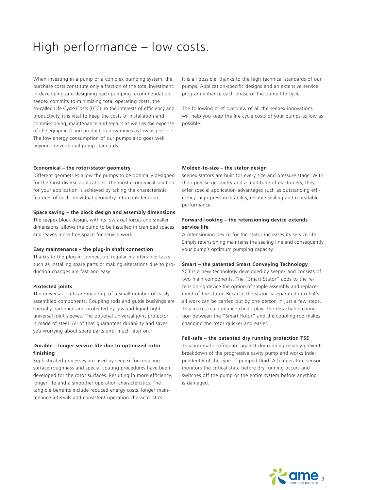# High performance – low costs.

When investing in a pump or a complex pumping system, the purchase costs constitute only a fraction of the total investment. In developing and designing each pumping recommendation, seepex commits to minimizing total operating costs, the so-called Life Cycle Costs (LCC). In the interests of efficiency and productivity, it is vital to keep the costs of installation and commissioning, maintenance and repairs as well as the expense of idle equipment and production downtimes as low as possible. The low energy consumption of our pumps also goes well beyond conventional pump standards.

#### **Economical – the rotor/stator geometry**

Different geometries allow the pumps to be optimally designed for the most diverse applications. The most economical solution for your application is achieved by taking the characteristic features of each individual geometry into consideration.

### **Space saving – the block design and assembly dimensions**

The seepex block design, with its low axial forces and smaller dimensions, allows the pump to be installed in cramped spaces and leaves more free space for service work.

#### **Easy maintenance – the plug-in shaft connection**

Thanks to the plug-in connection, regular maintenance tasks such as installing spare parts or making alterations due to production changes are fast and easy.

#### **Protected joints**

The universal joints are made up of a small number of easily assembled components. Coupling rods and guide bushings are specially hardened and protected by gas and liquid-tight universal joint sleeves. The optional universal joint protector is made of steel. All of that guarantees durability and saves you worrying about spare parts until much later on.

# **Durable – longer service life due to optimized rotor finishing**

Sophisticated processes are used by seepex for reducing surface roughness and special coating procedures have been developed for the rotor surfaces. Resulting in more efficiency, longer life and a smoother operation characteristics. The tangible benefits include reduced energy costs, longer maintenance intervals and consistent operation characteristics.

It is all possible, thanks to the high technical standards of our pumps. Application-specific designs and an extensive service program enhance each phase of the pump life cycle.

The following brief overview of all the seepex innovations will help you keep the life cycle costs of your pumps as low as possible.

#### **Molded-to-size – the stator design**

seepex stators are built for every size and pressure stage. With their precise geometry and a multitude of elastomers, they offer special application advantages such as outstanding efficiency, high-pressure stability, reliable sealing and repeatable performance.

# **Forward-looking – the retensioning device extends service life**

A retensioning device for the stator increases its service life. Simply retensioning maintains the sealing line and consequently your pump's optimum pumping capacity.

#### **Smart – the patented Smart Conveying Technology**

SCT is a new technology developed by seepex and consists of two main components. The "Smart Stator" adds to the retensioning device the option of simple assembly and replace ment of the stator. Because the stator is separated into halfs, all work can be carried out by one person in just a few steps. This makes maintenance child's play. The detachable connection between the "Smart Rotor" and the coupling rod makes changing the rotor quicker and easier.

#### **Fail-safe – the patented dry running protection TSE**

This automatic safeguard against dry running reliably prevents breakdown of the progressive cavity pump and works independently of the type of pumped fluid. A temperature sensor monitors the critical state before dry running occurs and switches off the pump or the entire system before anything is damaged.

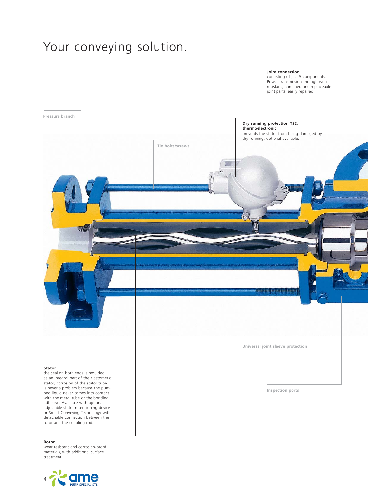# Your conveying solution.

#### **Joint connection**

consisting of just 5 components. Power transmission through wear resistant, hardened and replaceable joint parts: easily repaired.



the seal on both ends is moulded as an integral part of the elastomeric stator; corrosion of the stator tube is never a problem because the pumped liquid never comes into contact with the metal tube or the bonding adhesive. Available with optional adjustable stator retensioning device or Smart Conveying Technology with detachable connection between the rotor and the coupling rod.

#### **Rotor**

wear resistant and corrosion-proof materials, with additional surface treatment.



**Inspection ports**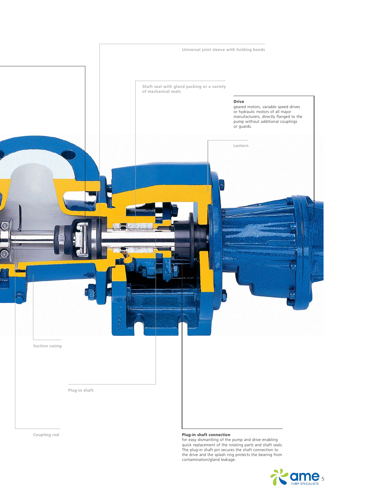

**Coupling rod**

#### **Plug-in shaft connection**

for easy dismantling of the pump and drive enabling quick replacement of the rotating parts and shaft seals. The plug-in shaft pin secures the shaft connection to the drive and the splash ring protects the bearing from contamination/gland leakage.

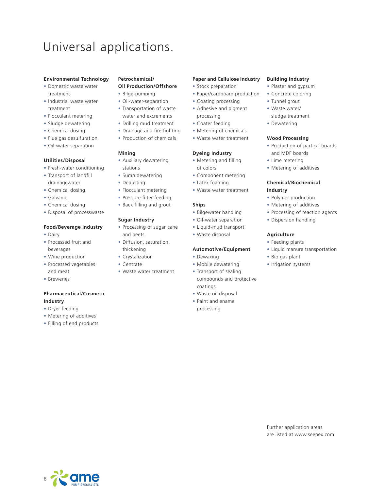# Universal applications.

### **Environmental Technology**

- **•** Domestic waste water treatment
- **•** Industrial waste water treatment
- **•** Flocculant metering
- **•** Sludge dewatering
- **•** Chemical dosing
- **•** Flue gas desulfuration
- **•** Oil-water-separation

### **Utilities/Disposal**

- **•** Fresh-water conditioning
- **•** Transport of landfill drainagewater
- **•** Chemical dosing
- **•** Galvanic
- **•** Chemical dosing
- **•** Disposal of processwaste

#### **Food/Beverage Industry**

- **•** Dairy
- **•** Processed fruit and beverages
- **•** Wine production
- **•** Processed vegetables and meat
- **•** Breweries

# **Pharmaceutical/Cosmetic Industry**

- **•** Dryer feeding
- **•** Metering of additives
- **•** Filling of end products

# **Petrochemical/**

# **Oil Production/Offshore**

- **•** Bilge-pumping
- **•** Oil-water-separation
- **•** Transportation of waste water and excrements
- **•** Drilling mud treatment
- **•** Drainage and fire fighting
- **•** Production of chemicals

### **Mining**

- **•** Auxiliary dewatering stations
- **•** Sump dewatering
- **•** Dedusting
- **•** Flocculant metering
- **•** Pressure filter feeding
- **•** Back filling and grout

#### **Sugar Industry**

- **•** Processing of sugar cane and beets
- **•** Diffusion, saturation, thickening
- **•** Crystalization
- **•** Centrate
- **•** Waste water treatment

## **Paper and Cellulose Industry**

- **•** Stock preparation
- **•** Paper/cardboard production
- **•** Coating processing
- **•** Adhesive and pigment processing
- **•** Coater feeding
- **•** Metering of chemicals
- **•** Waste water treatment

#### **Dyeing Industry**

- **•** Metering and filling of colors
- **•** Component metering
- **•** Latex foaming
- **•** Waste water treatment

### **Ships**

- **•** Bilgewater handling
- **•** Oil-water separation
- **•** Liquid-mud transport
- **•** Waste disposal

#### **Automotive/Equipment**

- **•** Dewaxing
- **•** Mobile dewatering
- **•** Transport of sealing compounds and protective coatings **•** Waste oil disposal
- **•** Paint and enamel
- processing

#### **Building Industry**

- **•** Plaster and gypsum
- **•** Concrete coloring
- **•** Tunnel grout
- **•** Waste water/
- sludge treatment **•** Dewatering
- 

# **Wood Processing**

- **•** Production of partical boards and MDF boards
- **•** Lime metering
- **•** Metering of additives

### **Chemical/Biochemical Industry**

- **•** Polymer production
- **•** Metering of additives
- **•** Processing of reaction agents
- **•** Dispersion handling

#### **Agriculture**

- **•** Feeding plants
- **•** Liquid manure transportation
- **•** Bio gas plant
- **•** Irrigation systems



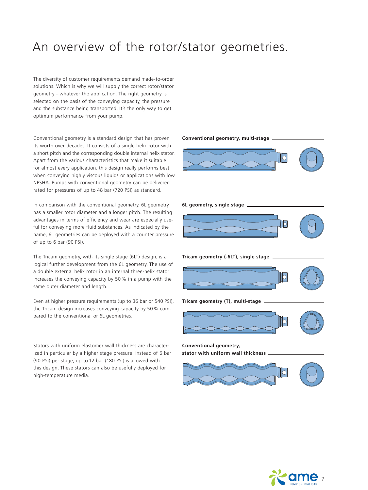# An overview of the rotor/stator geometries.

The diversity of customer requirements demand made-to-order solutions. Which is why we will supply the correct rotor/stator geometry – whatever the application. The right geometry is selected on the basis of the conveying capacity, the pressure and the substance being transported. It's the only way to get optimum performance from your pump.

Conventional geometry is a standard design that has proven its worth over decades. It consists of a single-helix rotor with a short pitch and the corresponding double internal helix stator. Apart from the various characteristics that make it suitable for almost every application, this design really performs best when conveying highly viscous liquids or applications with low NPSHA. Pumps with conventional geometry can be delivered rated for pressures of up to 48 bar (720 PSI) as standard.

In comparison with the conventional geometry, 6L geometry has a smaller rotor diameter and a longer pitch. The resulting advantages in terms of efficiency and wear are especially useful for conveying more fluid substances. As indicated by the name, 6L geometries can be deployed with a counter pressure of up to 6 bar (90 PSI).

The Tricam geometry, with its single stage (6LT) design, is a logical further development from the 6L geometry. The use of a double external helix rotor in an internal three-helix stator increases the conveying capacity by 50 % in a pump with the same outer diameter and length.

Even at higher pressure requirements (up to 36 bar or 540 PSI), the Tricam design increases conveying capacity by 50 % compared to the conventional or 6L geometries.

Stators with uniform elastomer wall thickness are characterized in particular by a higher stage pressure. Instead of 6 bar (90 PSI) per stage, up to 12 bar (180 PSI) is allowed with this design. These stators can also be usefully deployed for high-temperature media.



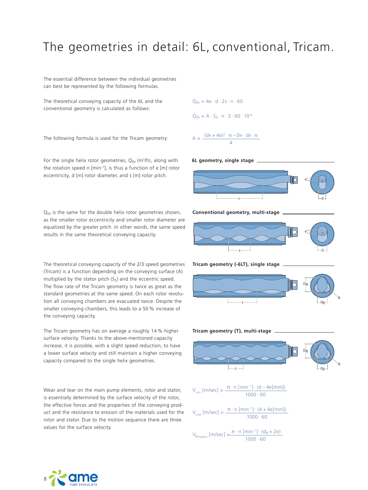# The geometries in detail: 6L, conventional, Tricam.

The essential difference between the individual geometries can best be represented by the following formulas.

The theoretical conveying capacity of the 6L and the conventional geometry is calculated as follows:

The following formula is used for the Tricam geometry:

For the single helix rotor geometries,  $Q_{th}$  (m<sup>3</sup>/h), along with the rotation speed n [min–1], is thus a function of e [m] rotor eccentricity, d [m] rotor diameter, and s [m] rotor pitch.

 $Q<sub>th</sub>$  is the same for the double helix rotor geometries shown, as the smaller rotor eccentricity and smaller rotor diameter are equalized by the greater pitch. In other words, the same speed results in the same theoretical conveying capacity.

The theoretical conveying capacity of the 2/3 speed geometries (Tricam) is a function depending on the conveying surface (A) multiplied by the stator pitch  $(S<sub>s</sub>)$  and the eccentric speed. The flow rate of the Tricam geometry is twice as great as the standard geometries at the same speed. On each rotor revolution all conveying chambers are evacuated twice. Despite the smaller conveying chambers, this leads to a 50 % increase of the conveying capacity.

The Tricam geometry has on average a roughly 14 % higher surface velocity. Thanks to the above-mentioned capacity increase, it is possible, with a slight speed reduction, to have a lower surface velocity and still maintain a higher conveying capacity compared to the single helix geometries.

Wear and tear on the main pump elements, rotor and stator, is essentially determined by the surface velocity of the rotor, the effective forces and the properties of the conveying product and the resistance to erosion of the materials used for the rotor and stator. Due to the motion sequence there are three values for the surface velocity.



# **6L geometry, single stage**



**Conventional geometry, multi-stage**



#### **Tricam geometry (-6LT), single stage**





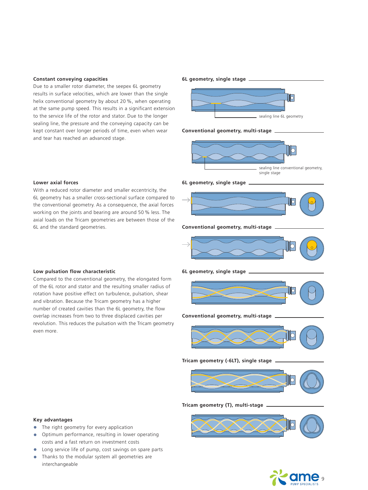#### **Constant conveying capacities**

Due to a smaller rotor diameter, the seepex 6L geometry results in surface velocities, which are lower than the single helix conventional geometry by about 20 %, when operating at the same pump speed. This results in a significant extension to the service life of the rotor and stator. Due to the longer sealing line, the pressure and the conveying capacity can be kept constant over longer periods of time, even when wear and tear has reached an advanced stage.

#### **6L geometry, single stage**



#### **Conventional geometry, multi-stage**



#### **6L geometry, single stage**



#### **Conventional geometry, multi-stage**



**6L geometry, single stage**



#### **Conventional geometry, multi-stage**



**Tricam geometry (-6LT), single stage**



**Tricam geometry (T), multi-stage**



# **Key advantages**

- **•** The right geometry for every application
- **•** Optimum performance, resulting in lower operating costs and a fast return on investment costs
- **•** Long service life of pump, cost savings on spare parts
- **•** Thanks to the modular system all geometries are interchangeable

9

#### **Lower axial forces**

With a reduced rotor diameter and smaller eccentricity, the 6L geometry has a smaller cross-sectional surface compared to the conventional geometry. As a consequence, the axial forces working on the joints and bearing are around 50 % less. The axial loads on the Tricam geometries are between those of the 6L and the standard geometries.

# **Low pulsation flow characteristic**

Compared to the conventional geometry, the elongated form of the 6L rotor and stator and the resulting smaller radius of rotation have positive effect on turbulence, pulsation, shear and vibration. Because the Tricam geometry has a higher number of created cavities than the 6L geometry, the flow overlap increases from two to three displaced cavities per revolution. This reduces the pulsation with the Tricam geometry even more.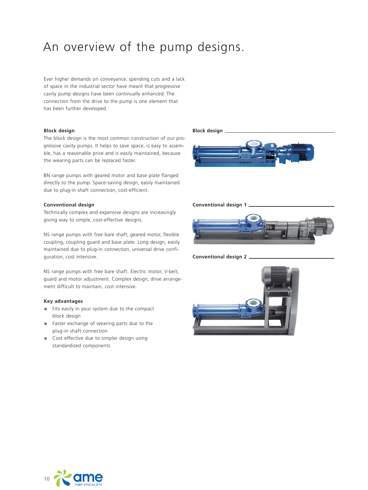# An overview of the pump designs.

Ever higher demands on conveyance, spending cuts and a lack of space in the industrial sector have meant that progressive cavity pump designs have been continually enhanced. The connection from the drive to the pump is one element that has been further developed.

## **Block design**

The block design is the most common construction of our progressive cavity pumps. It helps to save space, is easy to assemble, has a reasonable price and is easily maintained, because the wearing parts can be replaced faster.

BN range pumps with geared motor and base plate flanged directly to the pump. Space-saving design, easily maintained due to plug-in shaft connection, cost-efficient.

#### **Conventional design**

Technically complex and expensive designs are increasingly giving way to simple, cost-effective designs.

NS range pumps with free bare shaft, geared motor, flexible coupling, coupling guard and base plate. Long design, easily maintained due to plug-in connection, universal drive configuration, cost intensive.

NS range pumps with free bare shaft. Electric motor, V-belt, guard and motor adjustment. Complex design, drive arrangement difficult to maintain, cost intensive.

# **Key advantages**

- **•** Fits easily in your system due to the compact block design
- **•** Faster exchange of wearing parts due to the plug-in shaft connection
- **•** Cost effective due to simpler design using standardized components





**Conventional design 2**

**Block design**



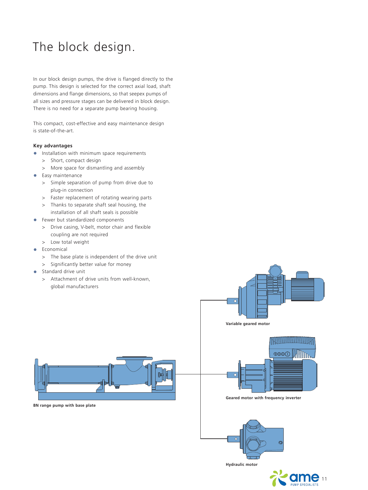# The block design.

In our block design pumps, the drive is flanged directly to the pump. This design is selected for the correct axial load, shaft dimensions and flange dimensions, so that seepex pumps of all sizes and pressure stages can be delivered in block design. There is no need for a separate pump bearing housing.

This compact, cost-effective and easy maintenance design is state-of-the-art.

# **Key advantages**

- **•** Installation with minimum space requirements
	- > Short, compact design
	- > More space for dismantling and assembly
- **•** Easy maintenance
	- > Simple separation of pump from drive due to plug-in connection
	- > Faster replacement of rotating wearing parts
	- > Thanks to separate shaft seal housing, the installation of all shaft seals is possible
- **•** Fewer but standardized components
	- > Drive casing, V-belt, motor chair and flexible coupling are not required
	- > Low total weight
- **•** Economical
	- > The base plate is independent of the drive unit
	- > Significantly better value for money
- **•** Standard drive unit
	- > Attachment of drive units from well-known, global manufacturers



**BN range pump with base plate**





**Geared motor with frequency inverter**



11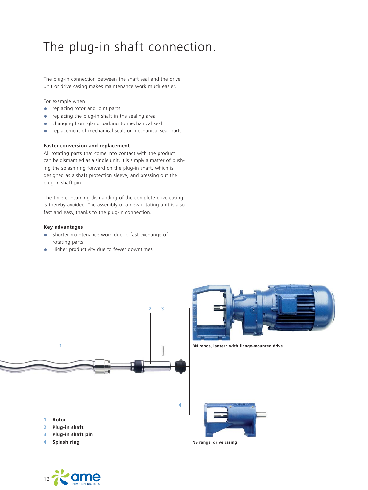# The plug-in shaft connection.

The plug-in connection between the shaft seal and the drive unit or drive casing makes maintenance work much easier.

For example when

- **•** replacing rotor and joint parts
- **•** replacing the plug-in shaft in the sealing area
- changing from gland packing to mechanical seal<br>• replacement of mechanical seals or mechanical seals
- **•** replacement of mechanical seals or mechanical seal parts

### **Faster conversion and replacement**

All rotating parts that come into contact with the product can be dismantled as a single unit. It is simply a matter of pushing the splash ring forward on the plug-in shaft, which is designed as a shaft protection sleeve, and pressing out the plug-in shaft pin.

The time-consuming dismantling of the complete drive casing is thereby avoided. The assembly of a new rotating unit is also fast and easy, thanks to the plug-in connection.

# **Key advantages**

- **•** Shorter maintenance work due to fast exchange of rotating parts
- **•** Higher productivity due to fewer downtimes



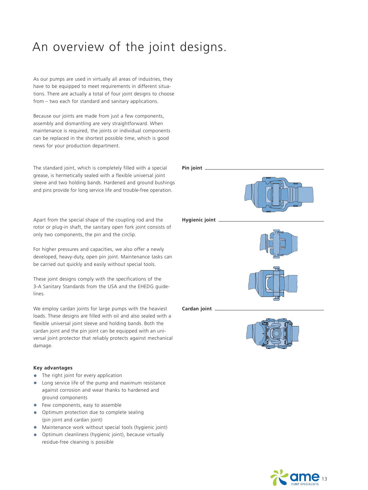# An overview of the joint designs.

As our pumps are used in virtually all areas of industries, they have to be equipped to meet requirements in different situations. There are actually a total of four joint designs to choose from – two each for standard and sanitary applications.

Because our joints are made from just a few components, assembly and dismantling are very straightforward. When maintenance is required, the joints or individual components can be replaced in the shortest possible time, which is good news for your production department.

The standard joint, which is completely filled with a special grease, is hermetically sealed with a flexible universal joint sleeve and two holding bands. Hardened and ground bushings and pins provide for long service life and trouble-free operation.

Apart from the special shape of the coupling rod and the rotor or plug-in shaft, the sanitary open fork joint consists of only two components, the pin and the circlip.

For higher pressures and capacities, we also offer a newly developed, heavy-duty, open pin joint. Maintenance tasks can be carried out quickly and easily without special tools.

These joint designs comply with the specifications of the 3-A Sanitary Standards from the USA and the EHEDG guidelines.

We employ cardan joints for large pumps with the heaviest loads. These designs are filled with oil and also sealed with a flexible universal joint sleeve and holding bands. Both the cardan joint and the pin joint can be equipped with an universal joint protector that reliably protects against mechanical damage.

# **Key advantages**

- **•** The right joint for every application
- **•** Long service life of the pump and maximum resistance against corrosion and wear thanks to hardened and ground components
- **•** Few components, easy to assemble
- **•** Optimum protection due to complete sealing (pin joint and cardan joint)
- **•** Maintenance work without special tools (hygienic joint)
- **•** Optimum cleanliness (hygienic joint), because virtually residue-free cleaning is possible





**Hygienic joint**



**Cardan joint**



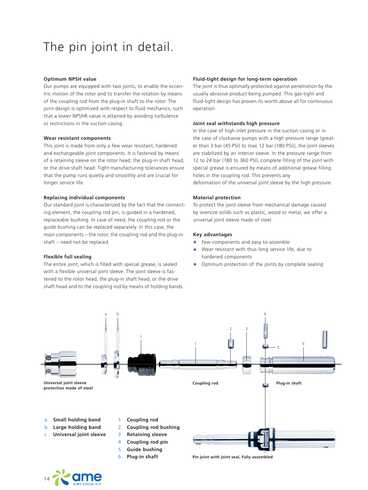# The pin joint in detail.

### **Optimum NPSH value**

Our pumps are equipped with two joints, to enable the eccentric motion of the rotor and to transfer the rotation by means of the coupling rod from the plug-in shaft to the rotor. The joint design is optimized with respect to fluid mechanics, such that a lower NPSHR value is attained by avoiding turbulence or restrictions in the suction casing.

### **Wear resistant components**

This joint is made from only a few wear resistant, hardened and exchangeable joint components. It is fastened by means of a retaining sleeve on the rotor head, the plug-in shaft head, or the drive shaft head. Tight manufacturing tolerances ensure that the pump runs quietly and smoothly and are crucial for longer service life.

# **Replacing individual components**

Our standard joint is characterized by the fact that the connecting element, the coupling rod pin, is guided in a hardened, replaceable bushing. In case of need, the coupling rod or the guide bushing can be replaced separately. In this case, the main components – the rotor, the coupling rod and the plug-in shaft – need not be replaced.

### **Flexible full sealing**

The entire joint, which is filled with special grease, is sealed with a flexible universal joint sleeve. The joint sleeve is fastened to the rotor head, the plug-in shaft head, or the drive shaft head and to the coupling rod by means of holding bands.

# **Fluid-tight design for long-term operation**

The joint is thus optimally protected against penetration by the usually abrasive product being pumped. This gas-tight and fluid-tight design has proven its worth above all for continuous operation.

#### **Joint seal withstands high pressure**

In the case of high inlet pressure in the suction casing or in the case of clockwise pumps with a high pressure range (greater than 3 bar (45 PSI) to max. 12 bar (180 PSI)), the joint sleeves are stabilized by an interior sleeve. In the pressure range from 12 to 24 bar (180 to 360 PSI), complete filling of the joint with special grease is ensured by means of additional grease filling holes in the coupling rod. This prevents any deformation of the universal joint sleeve by the high pressure.

### **Material protection**

To protect the joint sleeve from mechanical damage caused by oversize solids such as plastic, wood or metal, we offer a universal joint sleeve made of steel.

#### **Key advantages**

- **•** Few components and easy to assemble<br>• Wear resistant with thus long service lift
- **•** Wear resistant with thus long service life, due to hardened components
- **•** Optimum protection of the joints by complete sealing



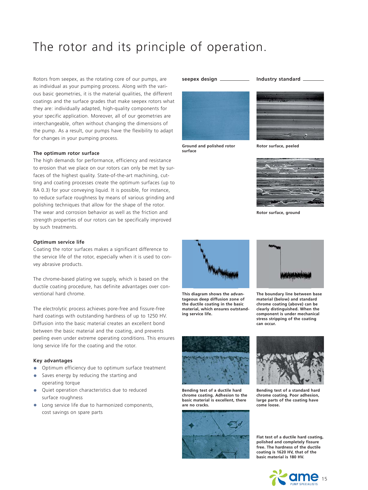# The rotor and its principle of operation.

Rotors from seepex, as the rotating core of our pumps, are as individual as your pumping process. Along with the various basic geometries, it is the material qualities, the different coatings and the surface grades that make seepex rotors what they are: individually adapted, high-quality components for your specific application. Moreover, all of our geometries are interchangeable, often without changing the dimensions of the pump. As a result, our pumps have the flexibility to adapt for changes in your pumping process.

#### **The optimum rotor surface**

The high demands for performance, efficiency and resistance to erosion that we place on our rotors can only be met by surfaces of the highest quality. State-of-the-art machining, cutting and coating processes create the optimum surfaces (up to RA 0.3) for your conveying liquid. It is possible, for instance, to reduce surface roughness by means of various grinding and polishing techniques that allow for the shape of the rotor. The wear and corrosion behavior as well as the friction and strength properties of our rotors can be specifically improved by such treatments.

#### **Optimum service life**

Coating the rotor surfaces makes a significant difference to the service life of the rotor, especially when it is used to convey abrasive products.

The chrome-based plating we supply, which is based on the ductile coating procedure, has definite advantages over conventional hard chrome.

The electrolytic process achieves pore-free and fissure-free hard coatings with outstanding hardness of up to 1250 HV. Diffusion into the basic material creates an excellent bond between the basic material and the coating, and prevents peeling even under extreme operating conditions. This ensures long service life for the coating and the rotor.

#### **Key advantages**

- **•** Optimum efficiency due to optimum surface treatment
- **•** Saves energy by reducing the starting and operating torque
- **•** Quiet operation characteristics due to reduced surface roughness
- **•** Long service life due to harmonized components, cost savings on spare parts





**Ground and polished rotor surface**



**Rotor surface, peeled**



**Rotor surface, ground**



**This diagram shows the advant age ous deep diffusion zone of the ductile coating in the basic material, which ensures outstand ing service life.**



**The boundary line between base material (below) and standard chrome coating (above) can be clearly distinguished. When the component is under mechanical stress stripping of the coating can occur.**



**Bending test of a ductile hard chrome coating. Adhesion to the basic material is excellent, there are no cracks.**





**Bending test of a standard hard chrome coating. Poor adhesion, large parts of the coating have come loose.**

**Flat test of a ductile hard coating, polished and completely fissure free. The hardness of the ductile coating is 1620 HV, that of the basic material is 180 HV.**

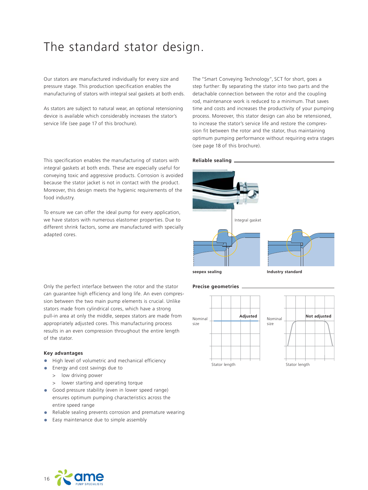# The standard stator design.

Our stators are manufactured individually for every size and pressure stage. This production specification enables the manufacturing of stators with integral seal gaskets at both ends.

As stators are subject to natural wear, an optional retensioning device is available which considerably increases the stator's service life (see page 17 of this brochure).

The "Smart Conveying Technology", SCT for short, goes a step further: By separating the stator into two parts and the detachable connection between the rotor and the coupling rod, maintenance work is reduced to a minimum. That saves time and costs and increases the productivity of your pumping process. Moreover, this stator design can also be retensioned, to increase the stator's service life and restore the compression fit between the rotor and the stator, thus maintaining optimum pumping performance without requiring extra stages (see page 18 of this brochure).

#### This specification enables the manufacturing of stators with integral gaskets at both ends. These are especially useful for conveying toxic and aggressive products. Corrosion is avoided because the stator jacket is not in contact with the product. Moreover, this design meets the hygienic requirements of the food industry. **Reliable sealing**

To ensure we can offer the ideal pump for every application, we have stators with numerous elastomer properties. Due to different shrink factors, some are manufactured with specially adapted cores.





size

**seepex sealing Industry standard**

**Precise geometries**

Only the perfect interface between the rotor and the stator can guarantee high efficiency and long life. An even compression between the two main pump elements is crucial. Unlike stators made from cylindrical cores, which have a strong pull-in area at only the middle, seepex stators are made from appropriately adjusted cores. This manufacturing process results in an even compression throughout the entire length of the stator.

# **Key advantages**

- **•** High level of volumetric and mechanical efficiency
- **•** Energy and cost savings due to
	- > low driving power
	- > lower starting and operating torque
- **•** Good pressure stability (even in lower speed range) ensures optimum pumping characteristics across the entire speed range
- **•** Reliable sealing prevents corrosion and premature wearing
- **•** Easy maintenance due to simple assembly

Stator length Stator length **Adjusted** Nominal Nominal size **Not adjusted**

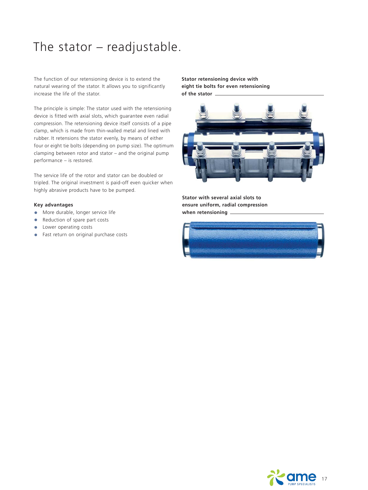# The stator – readjustable.

The function of our retensioning device is to extend the natural wearing of the stator. It allows you to significantly increase the life of the stator.

The principle is simple: The stator used with the retensioning device is fitted with axial slots, which guarantee even radial compression. The retensioning device itself consists of a pipe clamp, which is made from thin-walled metal and lined with rubber. It retensions the stator evenly, by means of either four or eight tie bolts (depending on pump size). The optimum clamping between rotor and stator  $-$  and the original pump  $performance - is restored.$ 

The service life of the rotor and stator can be doubled or tripled. The original investment is paid-off even quicker when highly abrasive products have to be pumped.

# **Key advantages**

- **•** More durable, longer service life
- **•** Reduction of spare part costs
- **•** Lower operating costs
- **•** Fast return on original purchase costs

# **Stator retensioning device with eight tie bolts for even retensioning of the stator**



**Stator with several axial slots to ensure uniform, radial compression when retensioning** 



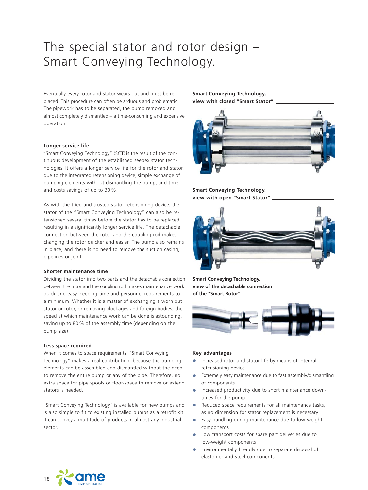# The special stator and rotor design – Smart Conveying Technology.

Eventually every rotor and stator wears out and must be replaced. This procedure can often be arduous and problematic. The pipework has to be separated, the pump removed and almost completely dismantled – a time-consuming and expensive operation.

### **Longer service life**

 "Smart Conveying Technology" (SCT) is the result of the continuous development of the established seepex stator technologies. It offers a longer service life for the rotor and stator, due to the integrated retensioning device, simple exchange of pumping elements without dismantling the pump, and time and costs savings of up to 30 %.

As with the tried and trusted stator retensioning device, the stator of the "Smart Conveying Technology" can also be retensioned several times before the stator has to be replaced, resulting in a significantly longer service life. The detachable connection between the rotor and the coupling rod makes changing the rotor quicker and easier. The pump also remains in place, and there is no need to remove the suction casing, pipelines or joint.

## **Shorter maintenance time**

Dividing the stator into two parts and the detachable connection between the rotor and the coupling rod makes maintenance work quick and easy, keeping time and personnel requirements to a minimum. Whether it is a matter of exchanging a worn out stator or rotor, or removing blockages and foreign bodies, the speed at which maintenance work can be done is astounding, saving up to 80 % of the assembly time (depending on the pump size).

#### **Less space required**

When it comes to space requirements, "Smart Conveying Technology" makes a real contribution, because the pumping elements can be assembled and dismantled without the need to remove the entire pump or any of the pipe. Therefore, no extra space for pipe spools or floor-space to remove or extend stators is needed.

 "Smart Conveying Technology" is available for new pumps and is also simple to fit to existing installed pumps as a retrofit kit. It can convey a multitude of products in almost any industrial sector.

**Smart Conveying Technology, view with closed "Smart Stator"**



# **Smart Conveying Technology, view with open "Smart Stator"**



**Smart Conveying Technology, view of the detachable connection of the "Smart Rotor"**



### **Key advantages**

- **•** Increased rotor and stator life by means of integral retensioning device
- **•** Extremely easy maintenance due to fast assembly/dismantling of components
- **•** Increased productivity due to short maintenance downtimes for the pump
- **•** Reduced space requirements for all maintenance tasks, as no dimension for stator replacement is necessary
- **•** Easy handling during maintenance due to low-weight components
- **•** Low transport costs for spare part deliveries due to low-weight components
- **•** Environmentally friendly due to separate disposal of elastomer and steel components

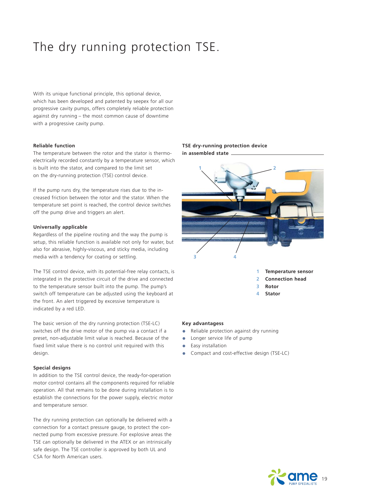# The dry running protection TSE.

With its unique functional principle, this optional device, which has been developed and patented by seepex for all our progressive cavity pumps, offers completely reliable protection against dry running – the most common cause of downtime with a progressive cavity pump.

## **Reliable function**

The temperature between the rotor and the stator is thermoelectrically recorded constantly by a temperature sensor, which is built into the stator, and compared to the limit set on the dry-running protection (TSE) control device.

If the pump runs dry, the temperature rises due to the increased friction between the rotor and the stator. When the temperature set point is reached, the control device switches off the pump drive and triggers an alert.

# **Universally applicable**

Regardless of the pipeline routing and the way the pump is setup, this reliable function is available not only for water, but also for abrasive, highly-viscous, and sticky media, including media with a tendency for coating or settling.

The TSE control device, with its potential-free relay contacts, is integrated in the protective circuit of the drive and connected to the temperature sensor built into the pump. The pump's switch off temperature can be adjusted using the keyboard at the front. An alert triggered by excessive temperature is indicated by a red LED.

The basic version of the dry running protection (TSE-LC) switches off the drive motor of the pump via a contact if a preset, non-adjustable limit value is reached. Because of the fixed limit value there is no control unit required with this design.

#### **Special designs**

In addition to the TSE control device, the ready-for-operation motor control contains all the components required for reliable operation. All that remains to be done during installation is to establish the connections for the power supply, electric motor and temperature sensor.

The dry running protection can optionally be delivered with a connection for a contact pressure gauge, to protect the connected pump from excessive pressure. For explosive areas the TSE can optionally be delivered in the ATEX or an intrinsically safe design. The TSE controller is approved by both UL and CSA for North American users.

# **TSE dry-running protection device in assembled state**



#### **Key advantagess**

- **•** Reliable protection against dry running
- **•** Longer service life of pump
- **•** Easy installation
- **•** Compact and cost-effective design (TSE-LC)